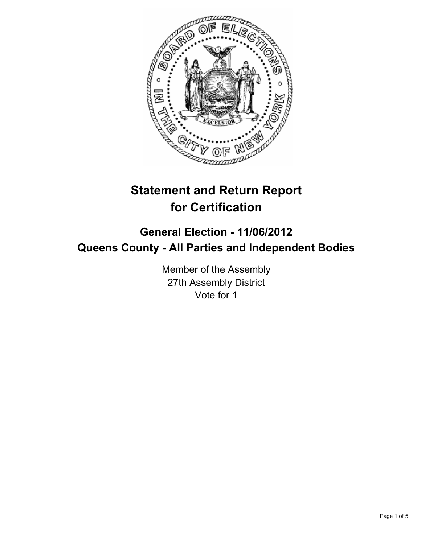

# **Statement and Return Report for Certification**

# **General Election - 11/06/2012 Queens County - All Parties and Independent Bodies**

Member of the Assembly 27th Assembly District Vote for 1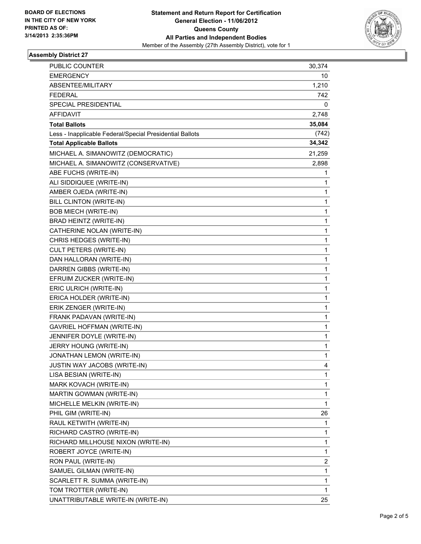

### **Assembly District 27**

| PUBLIC COUNTER                                           | 30,374      |
|----------------------------------------------------------|-------------|
| <b>EMERGENCY</b>                                         | 10          |
| ABSENTEE/MILITARY                                        | 1,210       |
| <b>FEDERAL</b>                                           | 742         |
| SPECIAL PRESIDENTIAL                                     | 0           |
| <b>AFFIDAVIT</b>                                         | 2,748       |
| <b>Total Ballots</b>                                     | 35,084      |
| Less - Inapplicable Federal/Special Presidential Ballots | (742)       |
| <b>Total Applicable Ballots</b>                          | 34,342      |
| MICHAEL A. SIMANOWITZ (DEMOCRATIC)                       | 21,259      |
| MICHAEL A. SIMANOWITZ (CONSERVATIVE)                     | 2,898       |
| ABE FUCHS (WRITE-IN)                                     | 1           |
| ALI SIDDIQUEE (WRITE-IN)                                 | 1           |
| AMBER OJEDA (WRITE-IN)                                   | 1           |
| BILL CLINTON (WRITE-IN)                                  | 1           |
| <b>BOB MIECH (WRITE-IN)</b>                              | 1           |
| BRAD HEINTZ (WRITE-IN)                                   | 1           |
| CATHERINE NOLAN (WRITE-IN)                               | 1           |
| CHRIS HEDGES (WRITE-IN)                                  | 1           |
| <b>CULT PETERS (WRITE-IN)</b>                            | 1           |
| DAN HALLORAN (WRITE-IN)                                  | 1           |
| DARREN GIBBS (WRITE-IN)                                  | 1           |
| EFRUIM ZUCKER (WRITE-IN)                                 | 1           |
| ERIC ULRICH (WRITE-IN)                                   | 1           |
| ERICA HOLDER (WRITE-IN)                                  | 1           |
| ERIK ZENGER (WRITE-IN)                                   | 1           |
| FRANK PADAVAN (WRITE-IN)                                 | 1           |
| <b>GAVRIEL HOFFMAN (WRITE-IN)</b>                        | 1           |
| JENNIFER DOYLE (WRITE-IN)                                | 1           |
| JERRY HOUNG (WRITE-IN)                                   | 1           |
| JONATHAN LEMON (WRITE-IN)                                | $\mathbf 1$ |
| JUSTIN WAY JACOBS (WRITE-IN)                             | 4           |
| LISA BESIAN (WRITE-IN)                                   | 1           |
| MARK KOVACH (WRITE-IN)                                   | 1           |
| MARTIN GOWMAN (WRITE-IN)                                 | 1           |
| MICHELLE MELKIN (WRITE-IN)                               | 1           |
| PHIL GIM (WRITE-IN)                                      | 26          |
| RAUL KETWITH (WRITE-IN)                                  | 1           |
| RICHARD CASTRO (WRITE-IN)                                | 1           |
| RICHARD MILLHOUSE NIXON (WRITE-IN)                       | 1           |
| ROBERT JOYCE (WRITE-IN)                                  | 1           |
| RON PAUL (WRITE-IN)                                      | 2           |
| SAMUEL GILMAN (WRITE-IN)                                 | 1           |
| SCARLETT R. SUMMA (WRITE-IN)                             | 1           |
| TOM TROTTER (WRITE-IN)                                   | 1           |
| UNATTRIBUTABLE WRITE-IN (WRITE-IN)                       | 25          |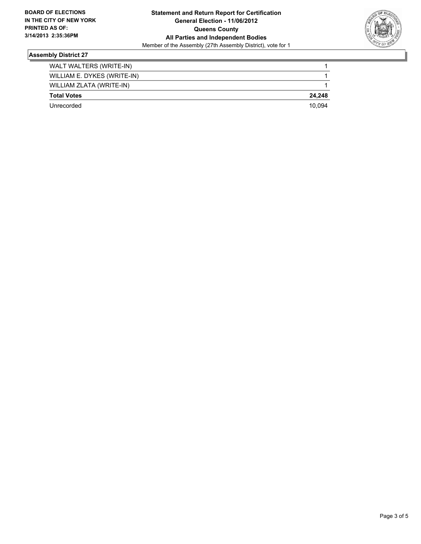

### **Assembly District 27**

| WALT WALTERS (WRITE-IN)     |        |
|-----------------------------|--------|
| WILLIAM E. DYKES (WRITE-IN) |        |
| WILLIAM ZLATA (WRITE-IN)    |        |
| <b>Total Votes</b>          | 24.248 |
| Unrecorded                  | 10.094 |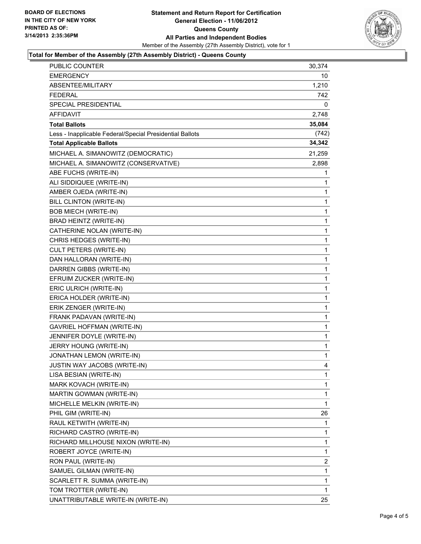

#### **Total for Member of the Assembly (27th Assembly District) - Queens County**

| <b>PUBLIC COUNTER</b>                                    | 30,374      |
|----------------------------------------------------------|-------------|
| <b>EMERGENCY</b>                                         | 10          |
| ABSENTEE/MILITARY                                        | 1,210       |
| <b>FEDERAL</b>                                           | 742         |
| SPECIAL PRESIDENTIAL                                     | 0           |
| AFFIDAVIT                                                | 2,748       |
| <b>Total Ballots</b>                                     | 35,084      |
| Less - Inapplicable Federal/Special Presidential Ballots | (742)       |
| <b>Total Applicable Ballots</b>                          | 34,342      |
| MICHAEL A. SIMANOWITZ (DEMOCRATIC)                       | 21,259      |
| MICHAEL A. SIMANOWITZ (CONSERVATIVE)                     | 2,898       |
| ABE FUCHS (WRITE-IN)                                     | 1           |
| ALI SIDDIQUEE (WRITE-IN)                                 | 1           |
| AMBER OJEDA (WRITE-IN)                                   | 1           |
| BILL CLINTON (WRITE-IN)                                  | $\mathbf 1$ |
| <b>BOB MIECH (WRITE-IN)</b>                              | 1           |
| BRAD HEINTZ (WRITE-IN)                                   | 1           |
| CATHERINE NOLAN (WRITE-IN)                               | 1           |
| CHRIS HEDGES (WRITE-IN)                                  | 1           |
| <b>CULT PETERS (WRITE-IN)</b>                            | 1           |
| DAN HALLORAN (WRITE-IN)                                  | $\mathbf 1$ |
| DARREN GIBBS (WRITE-IN)                                  | 1           |
| EFRUIM ZUCKER (WRITE-IN)                                 | 1           |
| ERIC ULRICH (WRITE-IN)                                   | $\mathbf 1$ |
| ERICA HOLDER (WRITE-IN)                                  | 1           |
| ERIK ZENGER (WRITE-IN)                                   | 1           |
| FRANK PADAVAN (WRITE-IN)                                 | $\mathbf 1$ |
| <b>GAVRIEL HOFFMAN (WRITE-IN)</b>                        | 1           |
| JENNIFER DOYLE (WRITE-IN)                                | 1           |
| JERRY HOUNG (WRITE-IN)                                   | $\mathbf 1$ |
| JONATHAN LEMON (WRITE-IN)                                | $\mathbf 1$ |
| JUSTIN WAY JACOBS (WRITE-IN)                             | 4           |
| LISA BESIAN (WRITE-IN)                                   | 1           |
| MARK KOVACH (WRITE-IN)                                   | 1           |
| MARTIN GOWMAN (WRITE-IN)                                 | 1           |
| MICHELLE MELKIN (WRITE-IN)                               | $\mathbf 1$ |
| PHIL GIM (WRITE-IN)                                      | 26          |
| RAUL KETWITH (WRITE-IN)                                  | 1           |
| RICHARD CASTRO (WRITE-IN)                                | 1           |
| RICHARD MILLHOUSE NIXON (WRITE-IN)                       | 1           |
| ROBERT JOYCE (WRITE-IN)                                  | 1           |
| RON PAUL (WRITE-IN)                                      | 2           |
| SAMUEL GILMAN (WRITE-IN)                                 | 1           |
| SCARLETT R. SUMMA (WRITE-IN)                             | 1           |
| TOM TROTTER (WRITE-IN)                                   | 1           |
| UNATTRIBUTABLE WRITE-IN (WRITE-IN)                       | 25          |